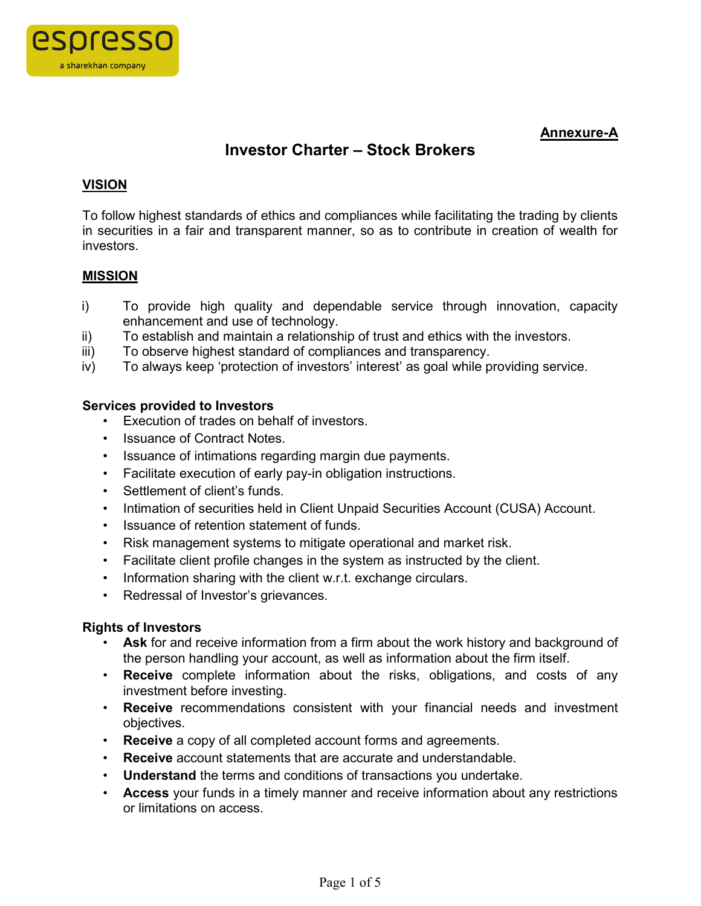

# **Annexure-A**

# **Investor Charter – Stock Brokers**

# **VISION**

To follow highest standards of ethics and compliances while facilitating the trading by clients in securities in a fair and transparent manner, so as to contribute in creation of wealth for investors.

# **MISSION**

- i) To provide high quality and dependable service through innovation, capacity enhancement and use of technology.
- ii) To establish and maintain a relationship of trust and ethics with the investors.
- iii) To observe highest standard of compliances and transparency.
- iv) To always keep 'protection of investors' interest' as goal while providing service.

# **Services provided to Investors**

- Execution of trades on behalf of investors.
- Issuance of Contract Notes
- Issuance of intimations regarding margin due payments.
- Facilitate execution of early pay-in obligation instructions.
- Settlement of client's funds.
- Intimation of securities held in Client Unpaid Securities Account (CUSA) Account.
- Issuance of retention statement of funds.
- Risk management systems to mitigate operational and market risk.
- Facilitate client profile changes in the system as instructed by the client.
- Information sharing with the client w.r.t. exchange circulars.
- Redressal of Investor's grievances.

### **Rights of Investors**

- **Ask** for and receive information from a firm about the work history and background of the person handling your account, as well as information about the firm itself.
- **Receive** complete information about the risks, obligations, and costs of any investment before investing.
- **Receive** recommendations consistent with your financial needs and investment objectives.
- **Receive** a copy of all completed account forms and agreements.
- **Receive** account statements that are accurate and understandable.
- **Understand** the terms and conditions of transactions you undertake.
- **Access** your funds in a timely manner and receive information about any restrictions or limitations on access.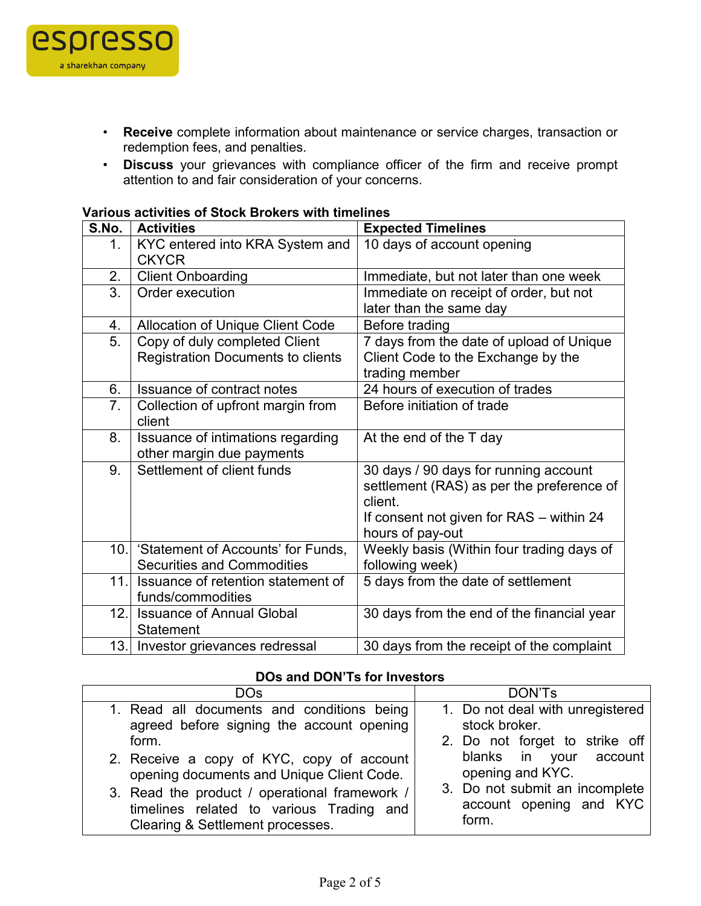

- **Receive** complete information about maintenance or service charges, transaction or redemption fees, and penalties.
- **Discuss** your grievances with compliance officer of the firm and receive prompt attention to and fair consideration of your concerns.

#### **Various activities of Stock Brokers with timelines**

| S.No.            | <b>Activities</b>                               | <b>Expected Timelines</b>                  |  |  |
|------------------|-------------------------------------------------|--------------------------------------------|--|--|
| 1.               | KYC entered into KRA System and<br><b>CKYCR</b> | 10 days of account opening                 |  |  |
| 2.               | <b>Client Onboarding</b>                        | Immediate, but not later than one week     |  |  |
| 3.               | Order execution                                 | Immediate on receipt of order, but not     |  |  |
|                  |                                                 | later than the same day                    |  |  |
| 4.               | <b>Allocation of Unique Client Code</b>         | Before trading                             |  |  |
| $\overline{5}$ . | Copy of duly completed Client                   | 7 days from the date of upload of Unique   |  |  |
|                  | <b>Registration Documents to clients</b>        | Client Code to the Exchange by the         |  |  |
|                  |                                                 | trading member                             |  |  |
| 6.               | <b>Issuance of contract notes</b>               | 24 hours of execution of trades            |  |  |
| $\overline{7}$ . | Collection of upfront margin from               | Before initiation of trade                 |  |  |
|                  | client                                          |                                            |  |  |
| 8.               | Issuance of intimations regarding               | At the end of the T day                    |  |  |
|                  | other margin due payments                       |                                            |  |  |
| 9.               | Settlement of client funds                      | 30 days / 90 days for running account      |  |  |
|                  |                                                 | settlement (RAS) as per the preference of  |  |  |
|                  |                                                 | client.                                    |  |  |
|                  |                                                 | If consent not given for RAS - within 24   |  |  |
|                  |                                                 | hours of pay-out                           |  |  |
|                  | 10. Statement of Accounts' for Funds,           | Weekly basis (Within four trading days of  |  |  |
|                  | <b>Securities and Commodities</b>               | following week)                            |  |  |
| 11.              | Issuance of retention statement of              | 5 days from the date of settlement         |  |  |
|                  | funds/commodities                               |                                            |  |  |
| 12.              | <b>Issuance of Annual Global</b>                | 30 days from the end of the financial year |  |  |
|                  | <b>Statement</b>                                |                                            |  |  |
|                  | 13. Investor grievances redressal               | 30 days from the receipt of the complaint  |  |  |

### **DOs and DON'Ts for Investors**

| DO <sub>s</sub>                               | DON'Ts                           |
|-----------------------------------------------|----------------------------------|
| 1. Read all documents and conditions being    | 1. Do not deal with unregistered |
| agreed before signing the account opening     | stock broker.                    |
| form.                                         | 2. Do not forget to strike off   |
| 2. Receive a copy of KYC, copy of account     | blanks in your account           |
| opening documents and Unique Client Code.     | opening and KYC.                 |
| 3. Read the product / operational framework / | 3. Do not submit an incomplete   |
| timelines related to various Trading and      | account opening and KYC          |
| Clearing & Settlement processes.              | form.                            |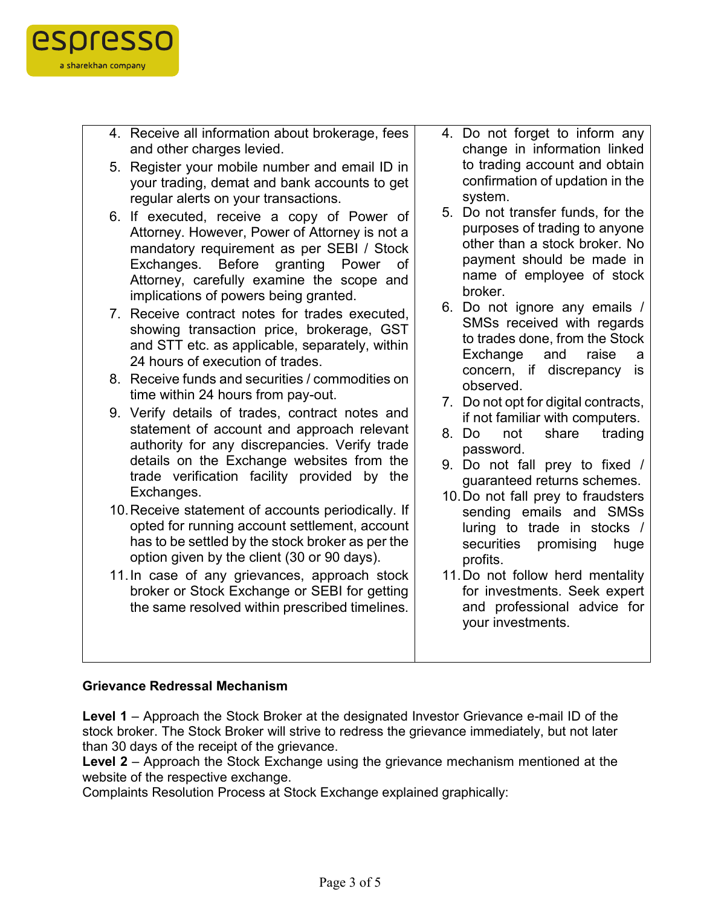

- 4. Receive all information about brokerage, fees and other charges levied.
- 5. Register your mobile number and email ID in your trading, demat and bank accounts to get regular alerts on your transactions.
- 6. If executed, receive a copy of Power of Attorney. However, Power of Attorney is not a mandatory requirement as per SEBI / Stock Exchanges. Before granting Power of Attorney, carefully examine the scope and implications of powers being granted.
- 7. Receive contract notes for trades executed, showing transaction price, brokerage, GST and STT etc. as applicable, separately, within 24 hours of execution of trades.
- 8. Receive funds and securities / commodities on time within 24 hours from pay-out.
- 9. Verify details of trades, contract notes and statement of account and approach relevant authority for any discrepancies. Verify trade details on the Exchange websites from the trade verification facility provided by the Exchanges.
- 10.Receive statement of accounts periodically. If opted for running account settlement, account has to be settled by the stock broker as per the option given by the client (30 or 90 days).
- 11.In case of any grievances, approach stock broker or Stock Exchange or SEBI for getting the same resolved within prescribed timelines.
- 4. Do not forget to inform any change in information linked to trading account and obtain confirmation of updation in the system.
- 5. Do not transfer funds, for the purposes of trading to anyone other than a stock broker. No payment should be made in name of employee of stock broker.
- 6. Do not ignore any emails / SMSs received with regards to trades done, from the Stock Exchange and raise a concern, if discrepancy is observed.
- 7. Do not opt for digital contracts, if not familiar with computers.
- 8. Do not share trading password.
- 9. Do not fall prey to fixed / guaranteed returns schemes.
- 10.Do not fall prey to fraudsters sending emails and SMSs luring to trade in stocks / securities promising huge profits.
- 11.Do not follow herd mentality for investments. Seek expert and professional advice for your investments.

# **Grievance Redressal Mechanism**

**Level 1** – Approach the Stock Broker at the designated Investor Grievance e-mail ID of the stock broker. The Stock Broker will strive to redress the grievance immediately, but not later than 30 days of the receipt of the grievance.

**Level 2** – Approach the Stock Exchange using the grievance mechanism mentioned at the website of the respective exchange.

Complaints Resolution Process at Stock Exchange explained graphically: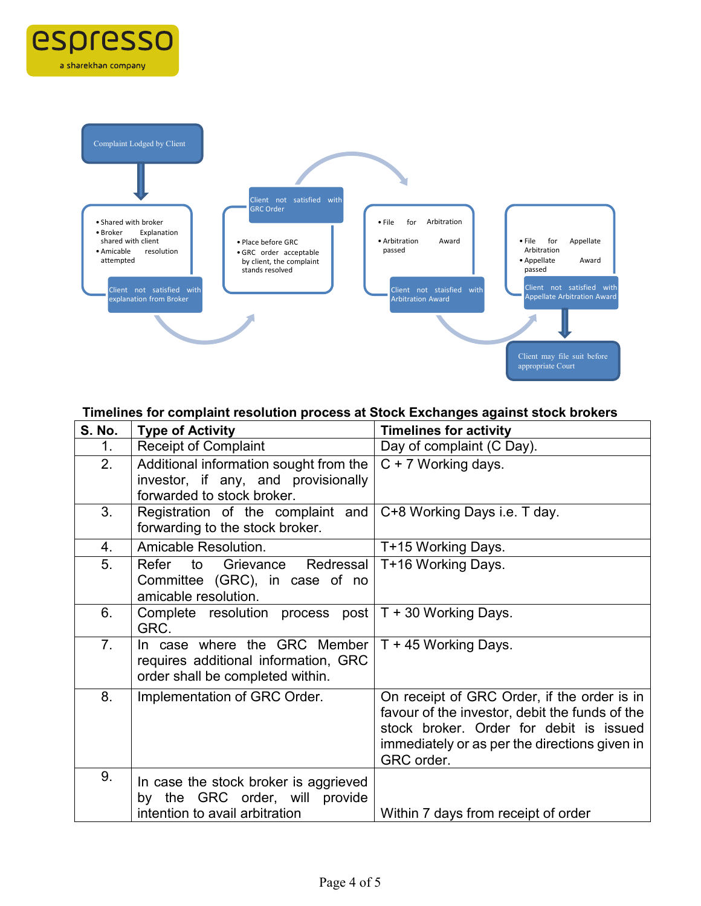

espresso

a sharekhan company

# **Timelines for complaint resolution process at Stock Exchanges against stock brokers**

| <b>S. No.</b>  | <b>Type of Activity</b>                                                                                     | <b>Timelines for activity</b>                                                                                                                                                                           |
|----------------|-------------------------------------------------------------------------------------------------------------|---------------------------------------------------------------------------------------------------------------------------------------------------------------------------------------------------------|
| 1.             | <b>Receipt of Complaint</b>                                                                                 | Day of complaint (C Day).                                                                                                                                                                               |
| 2.             | Additional information sought from the<br>investor, if any, and provisionally<br>forwarded to stock broker. | C + 7 Working days.                                                                                                                                                                                     |
| 3.             | Registration of the complaint and<br>forwarding to the stock broker.                                        | C+8 Working Days i.e. T day.                                                                                                                                                                            |
| 4.             | Amicable Resolution.                                                                                        | T+15 Working Days.                                                                                                                                                                                      |
| 5.             | Refer to Grievance Redressal<br>Committee (GRC), in case of no<br>amicable resolution.                      | T+16 Working Days.                                                                                                                                                                                      |
| 6.             | Complete resolution process post   T + 30 Working Days.<br>GRC.                                             |                                                                                                                                                                                                         |
| 7 <sub>1</sub> | In case where the GRC Member<br>requires additional information, GRC<br>order shall be completed within.    | T + 45 Working Days.                                                                                                                                                                                    |
| 8.             | Implementation of GRC Order.                                                                                | On receipt of GRC Order, if the order is in<br>favour of the investor, debit the funds of the<br>stock broker. Order for debit is issued<br>immediately or as per the directions given in<br>GRC order. |
| 9.             | In case the stock broker is aggrieved<br>by the GRC order, will provide<br>intention to avail arbitration   | Within 7 days from receipt of order                                                                                                                                                                     |